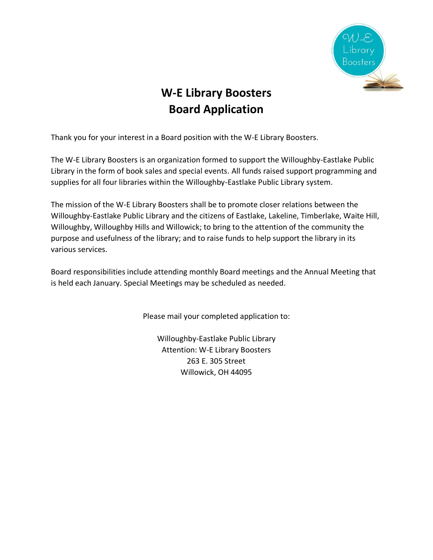

## **W-E Library Boosters Board Application**

Thank you for your interest in a Board position with the W-E Library Boosters.

The W-E Library Boosters is an organization formed to support the Willoughby-Eastlake Public Library in the form of book sales and special events. All funds raised support programming and supplies for all four libraries within the Willoughby-Eastlake Public Library system.

The mission of the W-E Library Boosters shall be to promote closer relations between the Willoughby-Eastlake Public Library and the citizens of Eastlake, Lakeline, Timberlake, Waite Hill, Willoughby, Willoughby Hills and Willowick; to bring to the attention of the community the purpose and usefulness of the library; and to raise funds to help support the library in its various services.

Board responsibilities include attending monthly Board meetings and the Annual Meeting that is held each January. Special Meetings may be scheduled as needed.

Please mail your completed application to:

Willoughby-Eastlake Public Library Attention: W-E Library Boosters 263 E. 305 Street Willowick, OH 44095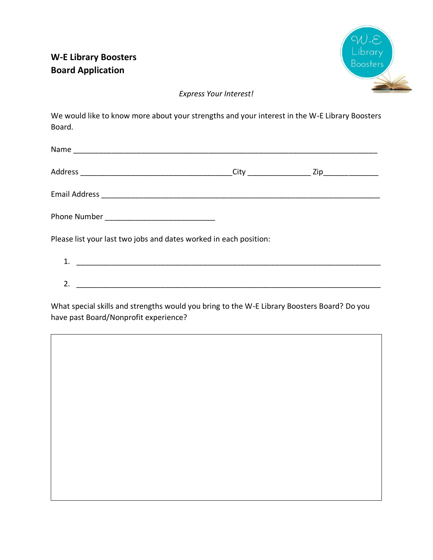

## *Express Your Interest!*

We would like to know more about your strengths and your interest in the W-E Library Boosters Board.

| Phone Number _________________________________                    |  |  |
|-------------------------------------------------------------------|--|--|
| Please list your last two jobs and dates worked in each position: |  |  |
|                                                                   |  |  |

 $2.$ 

What special skills and strengths would you bring to the W-E Library Boosters Board? Do you have past Board/Nonprofit experience?